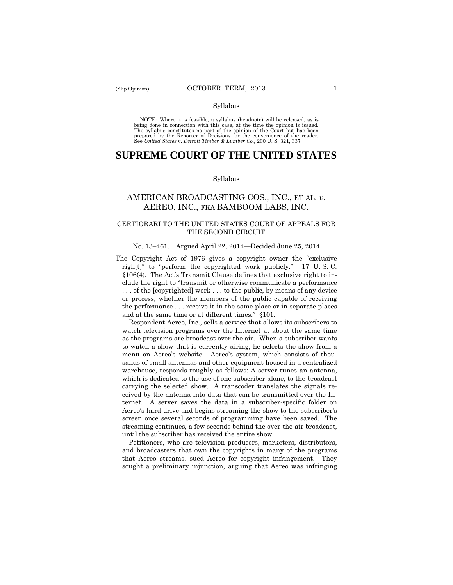NOTE: Where it is feasible, a syllabus (headnote) will be released, as is being done in connection with this case, at the time the opinion is issued. The syllabus constitutes no part of the opinion of the Court but has been<br>prepared by the Reporter of Decisions for the convenience of the reader.<br>See United States v. Detroit Timber & Lumber Co., 200 U.S. 321, 337.

# **SUPREME COURT OF THE UNITED STATES**

#### Syllabus

# AEREO, INC., FKA BAMBOOM LABS, INC. AMERICAN BROADCASTING COS., INC., ET AL. *v*.

# CERTIORARI TO THE UNITED STATES COURT OF APPEALS FOR THE SECOND CIRCUIT

### No. 13–461. Argued April 22, 2014—Decided June 25, 2014

 righ[t]" to "perform the copyrighted work publicly." 17 U. S. C. The Copyright Act of 1976 gives a copyright owner the "exclusive §106(4). The Act's Transmit Clause defines that exclusive right to include the right to "transmit or otherwise communicate a performance . . . of the [copyrighted] work . . . to the public, by means of any device or process, whether the members of the public capable of receiving the performance . . . receive it in the same place or in separate places and at the same time or at different times." §101.

Respondent Aereo, Inc., sells a service that allows its subscribers to watch television programs over the Internet at about the same time as the programs are broadcast over the air. When a subscriber wants to watch a show that is currently airing, he selects the show from a menu on Aereo's website. Aereo's system, which consists of thousands of small antennas and other equipment housed in a centralized warehouse, responds roughly as follows: A server tunes an antenna, which is dedicated to the use of one subscriber alone, to the broadcast carrying the selected show. A transcoder translates the signals received by the antenna into data that can be transmitted over the Internet. A server saves the data in a subscriber-specific folder on Aereo's hard drive and begins streaming the show to the subscriber's screen once several seconds of programming have been saved. The streaming continues, a few seconds behind the over-the-air broadcast, until the subscriber has received the entire show.

Petitioners, who are television producers, marketers, distributors, and broadcasters that own the copyrights in many of the programs that Aereo streams, sued Aereo for copyright infringement. They sought a preliminary injunction, arguing that Aereo was infringing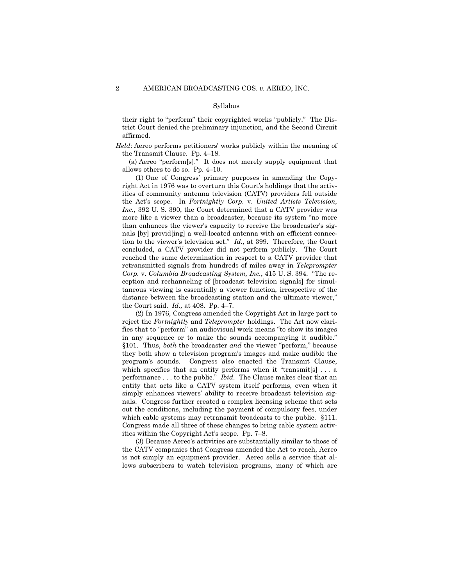their right to "perform" their copyrighted works "publicly." The District Court denied the preliminary injunction, and the Second Circuit affirmed.

#### *Held*: Aereo performs petitioners' works publicly within the meaning of the Transmit Clause. Pp. 4–18.

(a) Aereo "perform[s]." It does not merely supply equipment that allows others to do so. Pp. 4–10.

(1) One of Congress' primary purposes in amending the Copyright Act in 1976 was to overturn this Court's holdings that the activities of community antenna television (CATV) providers fell outside the Act's scope. In *Fortnightly Corp.* v. *United Artists Television, Inc.*, 392 U. S. 390, the Court determined that a CATV provider was more like a viewer than a broadcaster, because its system "no more than enhances the viewer's capacity to receive the broadcaster's signals [by] provid[ing] a well-located antenna with an efficient connection to the viewer's television set." *Id.,* at 399. Therefore, the Court concluded, a CATV provider did not perform publicly. The Court reached the same determination in respect to a CATV provider that retransmitted signals from hundreds of miles away in *Teleprompter Corp.* v. *Columbia Broadcasting System, Inc.*, 415 U. S. 394. "The reception and rechanneling of [broadcast television signals] for simultaneous viewing is essentially a viewer function, irrespective of the distance between the broadcasting station and the ultimate viewer," the Court said. *Id.,* at 408. Pp. 4–7.

(2) In 1976, Congress amended the Copyright Act in large part to reject the *Fortnightly* and *Teleprompter* holdings. The Act now clarifies that to "perform" an audiovisual work means "to show its images in any sequence or to make the sounds accompanying it audible." §101. Thus, *both* the broadcaster *and* the viewer "perform," because they both show a television program's images and make audible the program's sounds. Congress also enacted the Transmit Clause, which specifies that an entity performs when it "transmit[s] . . . a performance . . . to the public." *Ibid.* The Clause makes clear that an entity that acts like a CATV system itself performs, even when it simply enhances viewers' ability to receive broadcast television signals. Congress further created a complex licensing scheme that sets out the conditions, including the payment of compulsory fees, under which cable systems may retransmit broadcasts to the public.  $§111$ . Congress made all three of these changes to bring cable system activities within the Copyright Act's scope. Pp. 7–8.

(3) Because Aereo's activities are substantially similar to those of the CATV companies that Congress amended the Act to reach, Aereo is not simply an equipment provider. Aereo sells a service that allows subscribers to watch television programs, many of which are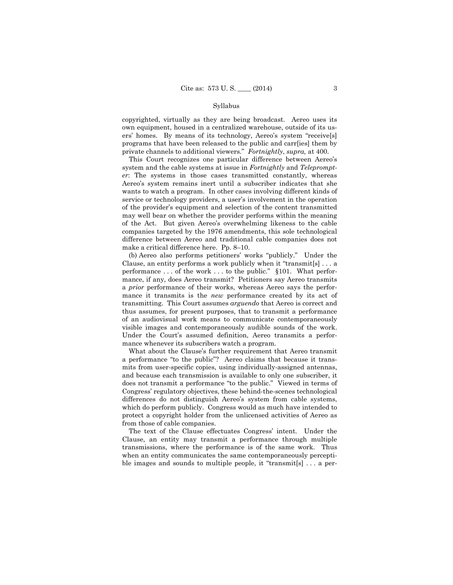ers' homes. By means of its technology, Aereo's system "receive[s] copyrighted, virtually as they are being broadcast. Aereo uses its own equipment, housed in a centralized warehouse, outside of its usprograms that have been released to the public and carr[ies] them by private channels to additional viewers." *Fortnightly*, *supra,* at 400.

This Court recognizes one particular difference between Aereo's system and the cable systems at issue in *Fortnightly* and *Teleprompter*: The systems in those cases transmitted constantly, whereas Aereo's system remains inert until a subscriber indicates that she wants to watch a program. In other cases involving different kinds of service or technology providers, a user's involvement in the operation of the provider's equipment and selection of the content transmitted may well bear on whether the provider performs within the meaning of the Act. But given Aereo's overwhelming likeness to the cable companies targeted by the 1976 amendments, this sole technological difference between Aereo and traditional cable companies does not make a critical difference here. Pp. 8–10.

(b) Aereo also performs petitioners' works "publicly." Under the Clause, an entity performs a work publicly when it "transmit[s] . . . a performance . . . of the work . . . to the public." §101. What performance, if any, does Aereo transmit? Petitioners say Aereo transmits a *prior* performance of their works, whereas Aereo says the performance it transmits is the *new* performance created by its act of transmitting. This Court assumes *arguendo* that Aereo is correct and thus assumes, for present purposes, that to transmit a performance of an audiovisual work means to communicate contemporaneously visible images and contemporaneously audible sounds of the work. Under the Court's assumed definition, Aereo transmits a performance whenever its subscribers watch a program.

What about the Clause's further requirement that Aereo transmit a performance "to the public"? Aereo claims that because it transmits from user-specific copies, using individually-assigned antennas, and because each transmission is available to only one subscriber, it does not transmit a performance "to the public." Viewed in terms of Congress' regulatory objectives, these behind-the-scenes technological differences do not distinguish Aereo's system from cable systems, which do perform publicly. Congress would as much have intended to protect a copyright holder from the unlicensed activities of Aereo as from those of cable companies.

The text of the Clause effectuates Congress' intent. Under the Clause, an entity may transmit a performance through multiple transmissions, where the performance is of the same work. Thus when an entity communicates the same contemporaneously perceptible images and sounds to multiple people, it "transmit[s] . . . a per-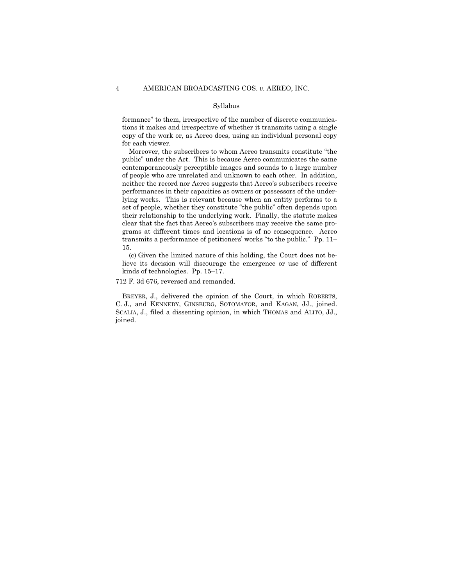formance" to them, irrespective of the number of discrete communications it makes and irrespective of whether it transmits using a single copy of the work or, as Aereo does, using an individual personal copy for each viewer.

Moreover, the subscribers to whom Aereo transmits constitute "the public" under the Act. This is because Aereo communicates the same contemporaneously perceptible images and sounds to a large number of people who are unrelated and unknown to each other. In addition, neither the record nor Aereo suggests that Aereo's subscribers receive performances in their capacities as owners or possessors of the underlying works. This is relevant because when an entity performs to a set of people, whether they constitute "the public" often depends upon their relationship to the underlying work. Finally, the statute makes clear that the fact that Aereo's subscribers may receive the same programs at different times and locations is of no consequence. Aereo transmits a performance of petitioners' works "to the public." Pp. 11– 15.

(c) Given the limited nature of this holding, the Court does not believe its decision will discourage the emergence or use of different kinds of technologies. Pp. 15–17.

712 F. 3d 676, reversed and remanded.

BREYER, J., delivered the opinion of the Court, in which ROBERTS, C. J., and KENNEDY, GINSBURG, SOTOMAYOR, and KAGAN, JJ., joined. SCALIA, J., filed a dissenting opinion, in which THOMAS and ALITO, JJ., joined.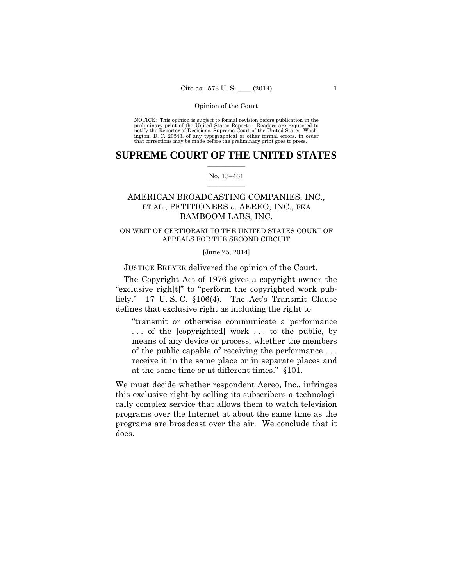preliminary print of the United States Reports. Readers are requested to notify the Reporter of Decisions, Supreme Court of the United States, Wash- ington, D. C. 20543, of any typographical or other formal errors, in order that corrections may be made before the preliminary print goes to press. NOTICE: This opinion is subject to formal revision before publication in the

# $\frac{1}{2}$  ,  $\frac{1}{2}$  ,  $\frac{1}{2}$  ,  $\frac{1}{2}$  ,  $\frac{1}{2}$  ,  $\frac{1}{2}$  ,  $\frac{1}{2}$ **SUPREME COURT OF THE UNITED STATES**

### $\frac{1}{2}$  ,  $\frac{1}{2}$  ,  $\frac{1}{2}$  ,  $\frac{1}{2}$  ,  $\frac{1}{2}$  ,  $\frac{1}{2}$ No. 13–461

# AMERICAN BROADCASTING COMPANIES, INC., ET AL., PETITIONERS *v.* AEREO, INC., FKA BAMBOOM LABS, INC.

# ON WRIT OF CERTIORARI TO THE UNITED STATES COURT OF APPEALS FOR THE SECOND CIRCUIT

[June 25, 2014]

JUSTICE BREYER delivered the opinion of the Court.

The Copyright Act of 1976 gives a copyright owner the "exclusive righ[t]" to "perform the copyrighted work publicly." 17 U. S. C. §106(4). The Act's Transmit Clause defines that exclusive right as including the right to

"transmit or otherwise communicate a performance . . . of the [copyrighted] work . . . to the public, by means of any device or process, whether the members of the public capable of receiving the performance . . . receive it in the same place or in separate places and at the same time or at different times." §101.

We must decide whether respondent Aereo, Inc., infringes this exclusive right by selling its subscribers a technologically complex service that allows them to watch television programs over the Internet at about the same time as the programs are broadcast over the air. We conclude that it does.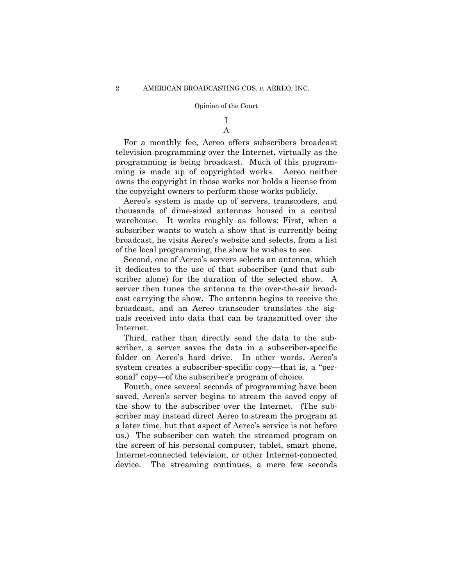# I A

For a monthly fee, Aereo offers subscribers broadcast television programming over the Internet, virtually as the programming is being broadcast. Much of this programming is made up of copyrighted works. Aereo neither owns the copyright in those works nor holds a license from the copyright owners to perform those works publicly.

Aereo's system is made up of servers, transcoders, and thousands of dime-sized antennas housed in a central warehouse. It works roughly as follows: First, when a subscriber wants to watch a show that is currently being broadcast, he visits Aereo's website and selects, from a list of the local programming, the show he wishes to see.

Second, one of Aereo's servers selects an antenna, which it dedicates to the use of that subscriber (and that subscriber alone) for the duration of the selected show. A server then tunes the antenna to the over-the-air broadcast carrying the show. The antenna begins to receive the broadcast, and an Aereo transcoder translates the signals received into data that can be transmitted over the Internet.

Third, rather than directly send the data to the subscriber, a server saves the data in a subscriber-specific folder on Aereo's hard drive. In other words, Aereo's system creates a subscriber-specific copy—that is, a "personal" copy—of the subscriber's program of choice.

Fourth, once several seconds of programming have been saved, Aereo's server begins to stream the saved copy of the show to the subscriber over the Internet. (The subscriber may instead direct Aereo to stream the program at a later time, but that aspect of Aereo's service is not before us.) The subscriber can watch the streamed program on the screen of his personal computer, tablet, smart phone, Internet-connected television, or other Internet-connected device. The streaming continues, a mere few seconds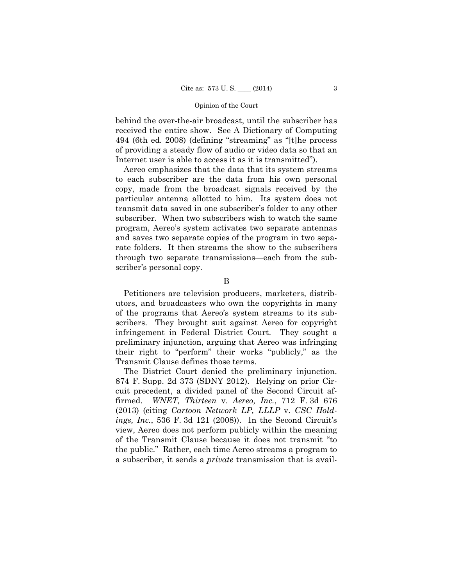behind the over-the-air broadcast, until the subscriber has received the entire show. See A Dictionary of Computing 494 (6th ed. 2008) (defining "streaming" as "[t]he process of providing a steady flow of audio or video data so that an Internet user is able to access it as it is transmitted").

Aereo emphasizes that the data that its system streams to each subscriber are the data from his own personal copy, made from the broadcast signals received by the particular antenna allotted to him. Its system does not transmit data saved in one subscriber's folder to any other subscriber. When two subscribers wish to watch the same program, Aereo's system activates two separate antennas and saves two separate copies of the program in two separate folders. It then streams the show to the subscribers through two separate transmissions—each from the subscriber's personal copy.

B

Petitioners are television producers, marketers, distributors, and broadcasters who own the copyrights in many of the programs that Aereo's system streams to its subscribers. They brought suit against Aereo for copyright infringement in Federal District Court. They sought a preliminary injunction, arguing that Aereo was infringing their right to "perform" their works "publicly," as the Transmit Clause defines those terms.

The District Court denied the preliminary injunction. 874 F. Supp. 2d 373 (SDNY 2012). Relying on prior Circuit precedent, a divided panel of the Second Circuit affirmed. *WNET, Thirteen* v. *Aereo, Inc.*, 712 F. 3d 676 (2013) (citing *Cartoon Network LP, LLLP* v. *CSC Holdings, Inc.*, 536 F. 3d 121 (2008)). In the Second Circuit's view, Aereo does not perform publicly within the meaning of the Transmit Clause because it does not transmit "to the public." Rather, each time Aereo streams a program to a subscriber, it sends a *private* transmission that is avail-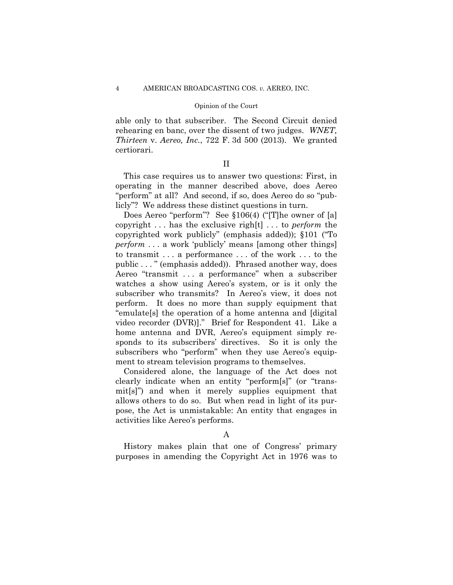able only to that subscriber. The Second Circuit denied rehearing en banc, over the dissent of two judges. *WNET, Thirteen* v. *Aereo, Inc.*, 722 F. 3d 500 (2013). We granted certiorari.

## II

This case requires us to answer two questions: First, in operating in the manner described above, does Aereo "perform" at all? And second, if so, does Aereo do so "publicly"? We address these distinct questions in turn.

Does Aereo "perform"? See §106(4) ("[T]he owner of [a] copyright . . . has the exclusive righ[t] . . . to *perform* the copyrighted work publicly" (emphasis added)); §101 ("To *perform* . . . a work 'publicly' means [among other things] to transmit . . . a performance . . . of the work . . . to the public . . . " (emphasis added)). Phrased another way, does Aereo "transmit . . . a performance" when a subscriber watches a show using Aereo's system, or is it only the subscriber who transmits? In Aereo's view, it does not perform. It does no more than supply equipment that "emulate[s] the operation of a home antenna and [digital video recorder (DVR)]." Brief for Respondent 41. Like a home antenna and DVR, Aereo's equipment simply responds to its subscribers' directives. So it is only the subscribers who "perform" when they use Aereo's equipment to stream television programs to themselves.

Considered alone, the language of the Act does not clearly indicate when an entity "perform[s]" (or "transmit[s]") and when it merely supplies equipment that allows others to do so. But when read in light of its purpose, the Act is unmistakable: An entity that engages in activities like Aereo's performs.

# A

History makes plain that one of Congress' primary purposes in amending the Copyright Act in 1976 was to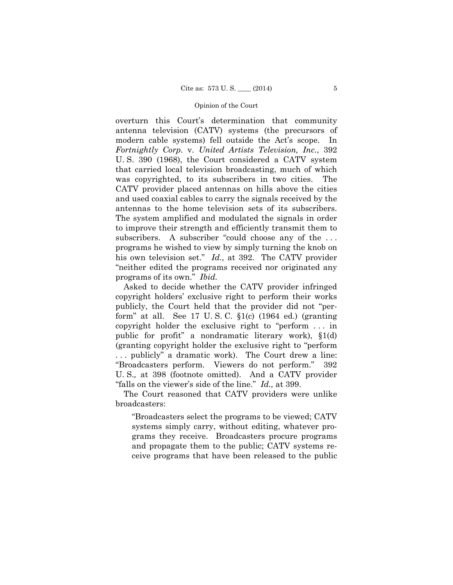antennas to the home television sets of its subscribers. overturn this Court's determination that community antenna television (CATV) systems (the precursors of modern cable systems) fell outside the Act's scope. In *Fortnightly Corp.* v. *United Artists Television, Inc.*, 392 U. S. 390 (1968), the Court considered a CATV system that carried local television broadcasting, much of which was copyrighted, to its subscribers in two cities. The CATV provider placed antennas on hills above the cities and used coaxial cables to carry the signals received by the The system amplified and modulated the signals in order to improve their strength and efficiently transmit them to subscribers. A subscriber "could choose any of the ... programs he wished to view by simply turning the knob on his own television set." *Id.,* at 392. The CATV provider "neither edited the programs received nor originated any programs of its own." *Ibid.* 

Asked to decide whether the CATV provider infringed copyright holders' exclusive right to perform their works publicly, the Court held that the provider did not "perform" at all. See  $17$  U.S.C.  $$1(c)$  (1964 ed.) (granting copyright holder the exclusive right to "perform . . . in public for profit" a nondramatic literary work), §1(d) (granting copyright holder the exclusive right to "perform . . . publicly" a dramatic work). The Court drew a line: "Broadcasters perform. Viewers do not perform." 392 U. S.*,* at 398 (footnote omitted). And a CATV provider "falls on the viewer's side of the line." *Id.,* at 399.

The Court reasoned that CATV providers were unlike broadcasters:

"Broadcasters select the programs to be viewed; CATV systems simply carry, without editing, whatever programs they receive. Broadcasters procure programs and propagate them to the public; CATV systems receive programs that have been released to the public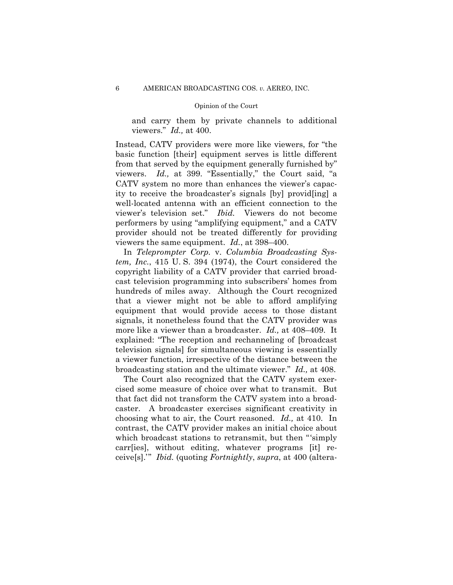and carry them by private channels to additional viewers." *Id.,* at 400.

Instead, CATV providers were more like viewers, for "the basic function [their] equipment serves is little different from that served by the equipment generally furnished by" viewers. *Id.,* at 399. "Essentially," the Court said, "a CATV system no more than enhances the viewer's capacity to receive the broadcaster's signals [by] provid[ing] a well-located antenna with an efficient connection to the viewer's television set." *Ibid.* Viewers do not become performers by using "amplifying equipment," and a CATV provider should not be treated differently for providing viewers the same equipment. *Id.*, at 398–400.

In *Teleprompter Corp.* v. *Columbia Broadcasting System, Inc.*, 415 U. S. 394 (1974), the Court considered the copyright liability of a CATV provider that carried broadcast television programming into subscribers' homes from hundreds of miles away. Although the Court recognized that a viewer might not be able to afford amplifying equipment that would provide access to those distant signals, it nonetheless found that the CATV provider was more like a viewer than a broadcaster. *Id.,* at 408–409. It explained: "The reception and rechanneling of [broadcast television signals] for simultaneous viewing is essentially a viewer function, irrespective of the distance between the broadcasting station and the ultimate viewer." *Id.,* at 408.

The Court also recognized that the CATV system exercised some measure of choice over what to transmit. But that fact did not transform the CATV system into a broadcaster. A broadcaster exercises significant creativity in choosing what to air, the Court reasoned. *Id.,* at 410. In contrast, the CATV provider makes an initial choice about which broadcast stations to retransmit, but then "'simply carr[ies], without editing, whatever programs [it] receive[s].'" *Ibid.* (quoting *Fortnightly*, *supra*, at 400 (altera-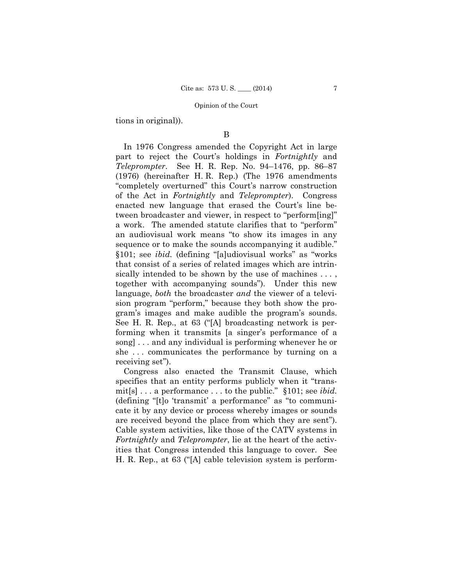tions in original)).

# B

In 1976 Congress amended the Copyright Act in large part to reject the Court's holdings in *Fortnightly* and *Teleprompter*. See H. R. Rep. No. 94–1476, pp. 86–87 (1976) (hereinafter H. R. Rep.) (The 1976 amendments "completely overturned" this Court's narrow construction of the Act in *Fortnightly* and *Teleprompter*). Congress enacted new language that erased the Court's line between broadcaster and viewer, in respect to "perform[ing]" a work. The amended statute clarifies that to "perform" an audiovisual work means "to show its images in any sequence or to make the sounds accompanying it audible." §101; see *ibid.* (defining "[a]udiovisual works" as "works that consist of a series of related images which are intrinsically intended to be shown by the use of machines ..., together with accompanying sounds"). Under this new language, *both* the broadcaster *and* the viewer of a television program "perform," because they both show the program's images and make audible the program's sounds. See H. R. Rep., at 63 ("[A] broadcasting network is performing when it transmits [a singer's performance of a song] . . . and any individual is performing whenever he or she . . . communicates the performance by turning on a receiving set").

 are received beyond the place from which they are sent"). Congress also enacted the Transmit Clause, which specifies that an entity performs publicly when it "transmit[s] . . . a performance . . . to the public." §101; see *ibid.*  (defining "[t]o 'transmit' a performance" as "to communicate it by any device or process whereby images or sounds Cable system activities, like those of the CATV systems in *Fortnightly* and *Teleprompter*, lie at the heart of the activities that Congress intended this language to cover. See H. R. Rep., at 63 ("[A] cable television system is perform-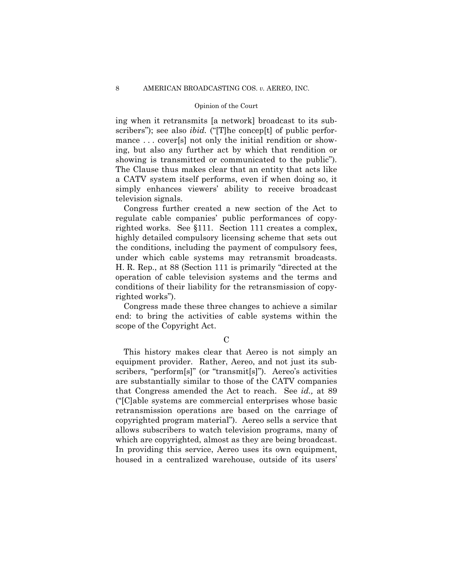ing when it retransmits [a network] broadcast to its subscribers"); see also *ibid.* ("The concep<sup>[t]</sup> of public performance ... cover[s] not only the initial rendition or showing, but also any further act by which that rendition or showing is transmitted or communicated to the public"). The Clause thus makes clear that an entity that acts like a CATV system itself performs, even if when doing so, it simply enhances viewers' ability to receive broadcast television signals.

Congress further created a new section of the Act to regulate cable companies' public performances of copyrighted works. See §111. Section 111 creates a complex, highly detailed compulsory licensing scheme that sets out the conditions, including the payment of compulsory fees, under which cable systems may retransmit broadcasts. H. R. Rep., at 88 (Section 111 is primarily "directed at the operation of cable television systems and the terms and conditions of their liability for the retransmission of copyrighted works").

Congress made these three changes to achieve a similar end: to bring the activities of cable systems within the scope of the Copyright Act.

#### C

This history makes clear that Aereo is not simply an equipment provider. Rather, Aereo, and not just its subscribers, "perform[s]" (or "transmit[s]"). Aereo's activities are substantially similar to those of the CATV companies that Congress amended the Act to reach. See *id.,* at 89 ("[C]able systems are commercial enterprises whose basic retransmission operations are based on the carriage of copyrighted program material"). Aereo sells a service that allows subscribers to watch television programs, many of which are copyrighted, almost as they are being broadcast. In providing this service, Aereo uses its own equipment, housed in a centralized warehouse, outside of its users'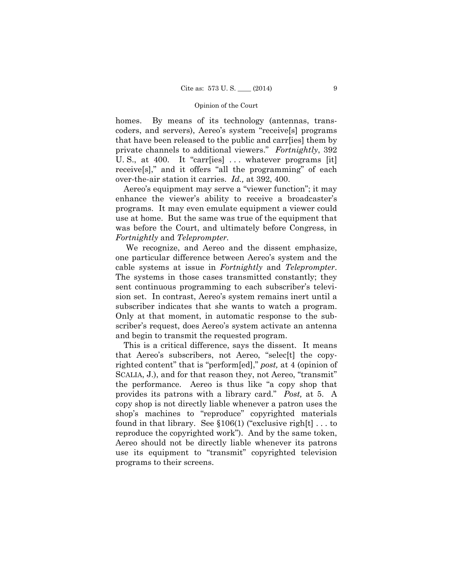homes. By means of its technology (antennas, transcoders, and servers), Aereo's system "receive[s] programs that have been released to the public and carr[ies] them by private channels to additional viewers." *Fortnightly*, 392 U. S., at 400. It "carr[ies] ... whatever programs [it] receive[s]," and it offers "all the programming" of each over-the-air station it carries. *Id.,* at 392, 400.

Aereo's equipment may serve a "viewer function"; it may enhance the viewer's ability to receive a broadcaster's programs. It may even emulate equipment a viewer could use at home. But the same was true of the equipment that was before the Court, and ultimately before Congress, in *Fortnightly* and *Teleprompter.* 

We recognize, and Aereo and the dissent emphasize, one particular difference between Aereo's system and the cable systems at issue in *Fortnightly* and *Teleprompter*. The systems in those cases transmitted constantly; they sent continuous programming to each subscriber's television set. In contrast, Aereo's system remains inert until a subscriber indicates that she wants to watch a program. Only at that moment, in automatic response to the subscriber's request, does Aereo's system activate an antenna and begin to transmit the requested program.

found in that library. See  $$106(1)$  ("exclusive righ[t] ... to This is a critical difference, says the dissent. It means that Aereo's subscribers, not Aereo, "selec[t] the copyrighted content" that is "perform[ed]," *post,* at 4 (opinion of SCALIA, J.), and for that reason they, not Aereo, "transmit" the performance. Aereo is thus like "a copy shop that provides its patrons with a library card." *Post,* at 5. A copy shop is not directly liable whenever a patron uses the shop's machines to "reproduce" copyrighted materials reproduce the copyrighted work"). And by the same token, Aereo should not be directly liable whenever its patrons use its equipment to "transmit" copyrighted television programs to their screens.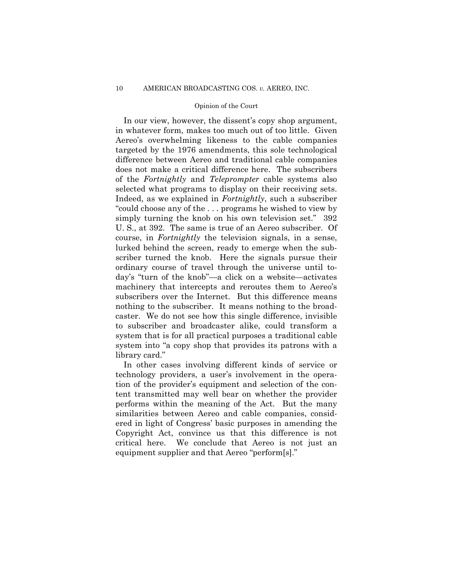In our view, however, the dissent's copy shop argument, in whatever form, makes too much out of too little. Given Aereo's overwhelming likeness to the cable companies targeted by the 1976 amendments, this sole technological difference between Aereo and traditional cable companies does not make a critical difference here. The subscribers of the *Fortnightly* and *Teleprompter* cable systems also selected what programs to display on their receiving sets. Indeed, as we explained in *Fortnightly*, such a subscriber "could choose any of the . . . programs he wished to view by simply turning the knob on his own television set." 392 U. S., at 392. The same is true of an Aereo subscriber. Of course, in *Fortnightly* the television signals, in a sense, lurked behind the screen, ready to emerge when the subscriber turned the knob. Here the signals pursue their ordinary course of travel through the universe until today's "turn of the knob"—a click on a website—activates machinery that intercepts and reroutes them to Aereo's subscribers over the Internet. But this difference means nothing to the subscriber. It means nothing to the broadcaster. We do not see how this single difference, invisible to subscriber and broadcaster alike, could transform a system that is for all practical purposes a traditional cable system into "a copy shop that provides its patrons with a library card."

In other cases involving different kinds of service or technology providers, a user's involvement in the operation of the provider's equipment and selection of the content transmitted may well bear on whether the provider performs within the meaning of the Act. But the many similarities between Aereo and cable companies, considered in light of Congress' basic purposes in amending the Copyright Act, convince us that this difference is not critical here. We conclude that Aereo is not just an equipment supplier and that Aereo "perform[s]."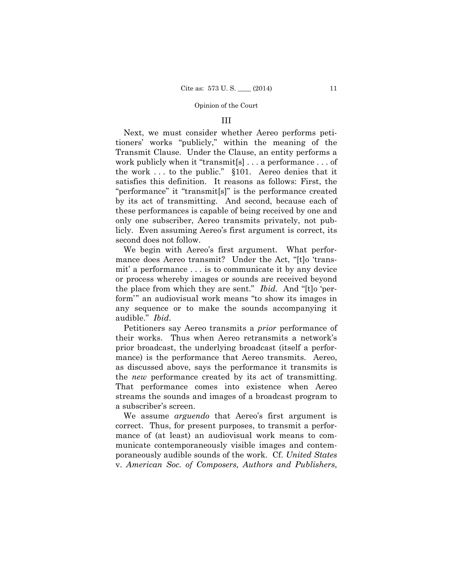## III

Next, we must consider whether Aereo performs petitioners' works "publicly," within the meaning of the Transmit Clause. Under the Clause, an entity performs a work publicly when it "transmit[s] . . . a performance . . . of the work . . . to the public." §101. Aereo denies that it satisfies this definition. It reasons as follows: First, the "performance" it "transmit[s]" is the performance created by its act of transmitting. And second, because each of these performances is capable of being received by one and only one subscriber, Aereo transmits privately, not publicly. Even assuming Aereo's first argument is correct, its second does not follow.

We begin with Aereo's first argument. What performance does Aereo transmit? Under the Act, "[t]o 'transmit' a performance . . . is to communicate it by any device or process whereby images or sounds are received beyond the place from which they are sent." *Ibid.* And "[t]o 'perform'" an audiovisual work means "to show its images in any sequence or to make the sounds accompanying it audible." *Ibid*.

Petitioners say Aereo transmits a *prior* performance of their works. Thus when Aereo retransmits a network's prior broadcast, the underlying broadcast (itself a performance) is the performance that Aereo transmits. Aereo, as discussed above, says the performance it transmits is the *new* performance created by its act of transmitting. That performance comes into existence when Aereo streams the sounds and images of a broadcast program to a subscriber's screen.

We assume *arguendo* that Aereo's first argument is correct. Thus, for present purposes, to transmit a performance of (at least) an audiovisual work means to communicate contemporaneously visible images and contemporaneously audible sounds of the work. Cf. *United States*  v. *American Soc. of Composers, Authors and Publishers*,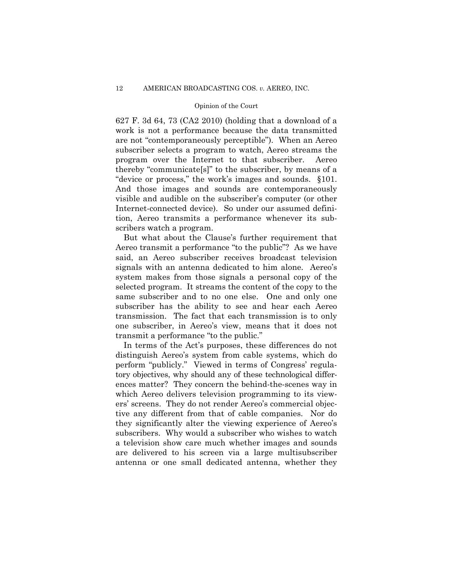627 F. 3d 64, 73 (CA2 2010) (holding that a download of a work is not a performance because the data transmitted are not "contemporaneously perceptible"). When an Aereo subscriber selects a program to watch, Aereo streams the program over the Internet to that subscriber. Aereo thereby "communicate[s]" to the subscriber, by means of a "device or process," the work's images and sounds. §101. And those images and sounds are contemporaneously visible and audible on the subscriber's computer (or other Internet-connected device). So under our assumed definition, Aereo transmits a performance whenever its subscribers watch a program.

But what about the Clause's further requirement that Aereo transmit a performance "to the public"? As we have said, an Aereo subscriber receives broadcast television signals with an antenna dedicated to him alone. Aereo's system makes from those signals a personal copy of the selected program. It streams the content of the copy to the same subscriber and to no one else. One and only one subscriber has the ability to see and hear each Aereo transmission. The fact that each transmission is to only one subscriber, in Aereo's view, means that it does not transmit a performance "to the public."

In terms of the Act's purposes, these differences do not distinguish Aereo's system from cable systems, which do perform "publicly." Viewed in terms of Congress' regulatory objectives, why should any of these technological differences matter? They concern the behind-the-scenes way in which Aereo delivers television programming to its viewers' screens. They do not render Aereo's commercial objective any different from that of cable companies. Nor do they significantly alter the viewing experience of Aereo's subscribers. Why would a subscriber who wishes to watch a television show care much whether images and sounds are delivered to his screen via a large multisubscriber antenna or one small dedicated antenna, whether they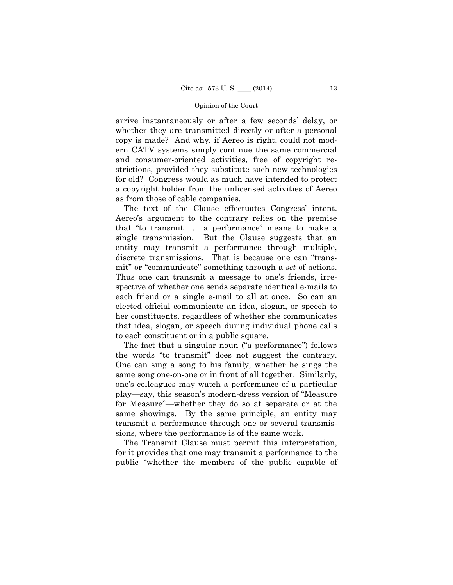arrive instantaneously or after a few seconds' delay, or whether they are transmitted directly or after a personal copy is made? And why, if Aereo is right, could not modern CATV systems simply continue the same commercial and consumer-oriented activities, free of copyright restrictions, provided they substitute such new technologies for old? Congress would as much have intended to protect a copyright holder from the unlicensed activities of Aereo as from those of cable companies.

The text of the Clause effectuates Congress' intent. Aereo's argument to the contrary relies on the premise that "to transmit . . . a performance" means to make a single transmission. But the Clause suggests that an entity may transmit a performance through multiple, discrete transmissions. That is because one can "transmit" or "communicate" something through a *set* of actions. Thus one can transmit a message to one's friends, irrespective of whether one sends separate identical e-mails to each friend or a single e-mail to all at once. So can an elected official communicate an idea, slogan, or speech to her constituents, regardless of whether she communicates that idea, slogan, or speech during individual phone calls to each constituent or in a public square.

The fact that a singular noun ("a performance") follows the words "to transmit" does not suggest the contrary. One can sing a song to his family, whether he sings the same song one-on-one or in front of all together. Similarly, one's colleagues may watch a performance of a particular play—say, this season's modern-dress version of "Measure for Measure"—whether they do so at separate or at the same showings. By the same principle, an entity may transmit a performance through one or several transmissions, where the performance is of the same work.

The Transmit Clause must permit this interpretation, for it provides that one may transmit a performance to the public "whether the members of the public capable of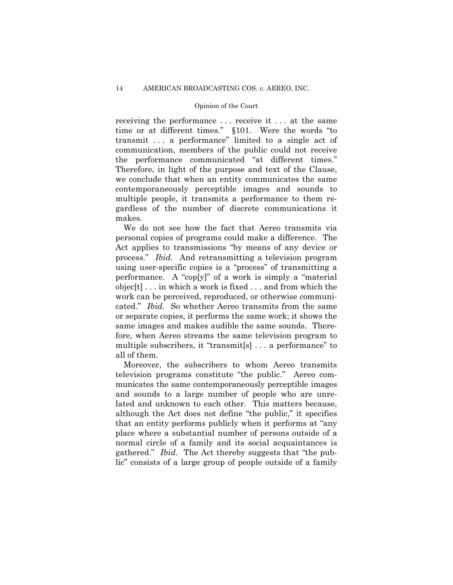receiving the performance . . . receive it . . . at the same time or at different times." §101. Were the words "to transmit . . . a performance" limited to a single act of communication, members of the public could not receive the performance communicated "at different times." Therefore, in light of the purpose and text of the Clause, we conclude that when an entity communicates the same contemporaneously perceptible images and sounds to multiple people, it transmits a performance to them regardless of the number of discrete communications it makes.

 We do not see how the fact that Aereo transmits via personal copies of programs could make a difference. The Act applies to transmissions "by means of any device or process." *Ibid.* And retransmitting a television program using user-specific copies is a "process" of transmitting a performance. A "cop[y]" of a work is simply a "material  $object|$ ... in which a work is fixed  $\ldots$  and from which the work can be perceived, reproduced, or otherwise communicated." *Ibid.* So whether Aereo transmits from the same or separate copies, it performs the same work; it shows the same images and makes audible the same sounds. Therefore, when Aereo streams the same television program to multiple subscribers, it "transmit[s] . . . a performance" to all of them.

 Moreover, the subscribers to whom Aereo transmits television programs constitute "the public." Aereo communicates the same contemporaneously perceptible images and sounds to a large number of people who are unrelated and unknown to each other. This matters because, although the Act does not define "the public," it specifies that an entity performs publicly when it performs at "any place where a substantial number of persons outside of a normal circle of a family and its social acquaintances is gathered." *Ibid.* The Act thereby suggests that "the public" consists of a large group of people outside of a family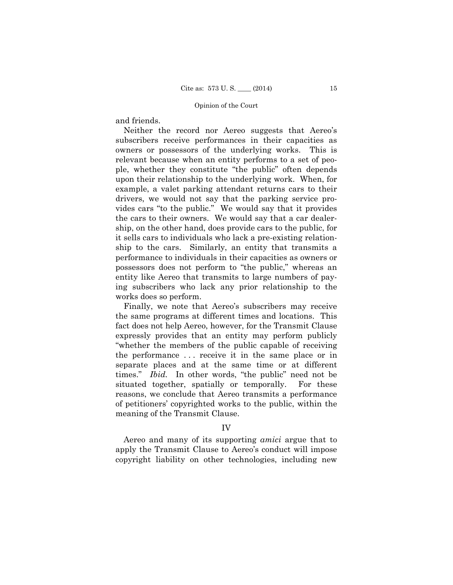and friends.

Neither the record nor Aereo suggests that Aereo's subscribers receive performances in their capacities as owners or possessors of the underlying works. This is relevant because when an entity performs to a set of people, whether they constitute "the public" often depends upon their relationship to the underlying work. When, for example, a valet parking attendant returns cars to their drivers, we would not say that the parking service provides cars "to the public." We would say that it provides the cars to their owners. We would say that a car dealership, on the other hand, does provide cars to the public, for it sells cars to individuals who lack a pre-existing relationship to the cars. Similarly, an entity that transmits a performance to individuals in their capacities as owners or possessors does not perform to "the public," whereas an entity like Aereo that transmits to large numbers of paying subscribers who lack any prior relationship to the works does so perform.

Finally, we note that Aereo's subscribers may receive the same programs at different times and locations. This fact does not help Aereo, however, for the Transmit Clause expressly provides that an entity may perform publicly "whether the members of the public capable of receiving the performance . . . receive it in the same place or in separate places and at the same time or at different times." *Ibid.* In other words, "the public" need not be situated together, spatially or temporally. For these reasons, we conclude that Aereo transmits a performance of petitioners' copyrighted works to the public, within the meaning of the Transmit Clause.

# IV

Aereo and many of its supporting *amici* argue that to apply the Transmit Clause to Aereo's conduct will impose copyright liability on other technologies, including new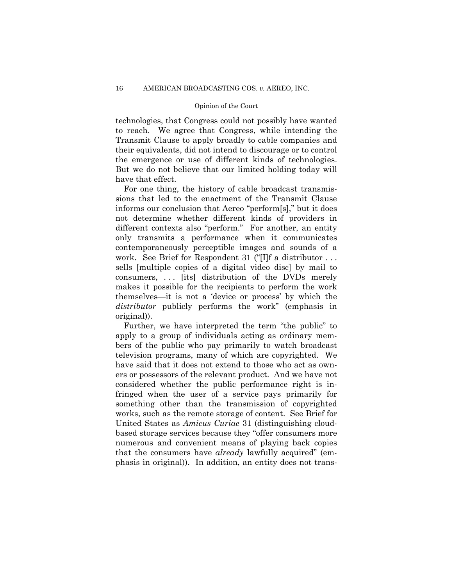the emergence or use of different kinds of technologies. technologies, that Congress could not possibly have wanted to reach. We agree that Congress, while intending the Transmit Clause to apply broadly to cable companies and their equivalents, did not intend to discourage or to control But we do not believe that our limited holding today will have that effect.

 work. See Brief for Respondent 31 ("[I]f a distributor . . . For one thing, the history of cable broadcast transmissions that led to the enactment of the Transmit Clause informs our conclusion that Aereo "perform[s]," but it does not determine whether different kinds of providers in different contexts also "perform." For another, an entity only transmits a performance when it communicates contemporaneously perceptible images and sounds of a sells [multiple copies of a digital video disc] by mail to consumers, . . . [its] distribution of the DVDs merely makes it possible for the recipients to perform the work themselves—it is not a 'device or process' by which the *distributor* publicly performs the work" (emphasis in original)).

Further, we have interpreted the term "the public" to apply to a group of individuals acting as ordinary members of the public who pay primarily to watch broadcast television programs, many of which are copyrighted. We have said that it does not extend to those who act as owners or possessors of the relevant product. And we have not considered whether the public performance right is infringed when the user of a service pays primarily for something other than the transmission of copyrighted works, such as the remote storage of content. See Brief for United States as *Amicus Curiae* 31 (distinguishing cloudbased storage services because they "offer consumers more numerous and convenient means of playing back copies that the consumers have *already* lawfully acquired" (emphasis in original)). In addition, an entity does not trans-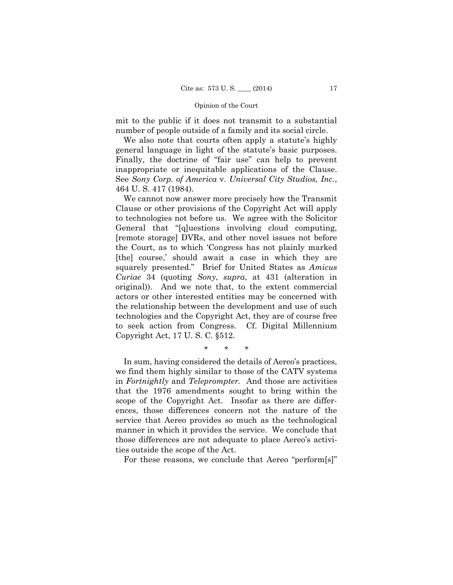mit to the public if it does not transmit to a substantial number of people outside of a family and its social circle.

We also note that courts often apply a statute's highly general language in light of the statute's basic purposes. Finally, the doctrine of "fair use" can help to prevent inappropriate or inequitable applications of the Clause. See *Sony Corp. of America* v. *Universal City Studios, Inc.*, 464 U. S. 417 (1984).

We cannot now answer more precisely how the Transmit Clause or other provisions of the Copyright Act will apply to technologies not before us. We agree with the Solicitor General that "[q]uestions involving cloud computing, [remote storage] DVRs, and other novel issues not before the Court, as to which 'Congress has not plainly marked [the] course,' should await a case in which they are squarely presented." Brief for United States as *Amicus Curiae* 34 (quoting *Sony*, *supra*, at 431 (alteration in original)). And we note that, to the extent commercial actors or other interested entities may be concerned with the relationship between the development and use of such technologies and the Copyright Act, they are of course free to seek action from Congress. Cf. Digital Millennium Copyright Act, 17 U. S. C. §512.

\* \* \*

 In sum, having considered the details of Aereo's practices, we find them highly similar to those of the CATV systems in *Fortnightly* and *Teleprompter.* And those are activities that the 1976 amendments sought to bring within the scope of the Copyright Act. Insofar as there are differences, those differences concern not the nature of the service that Aereo provides so much as the technological manner in which it provides the service. We conclude that those differences are not adequate to place Aereo's activities outside the scope of the Act.

For these reasons, we conclude that Aereo "perform[s]"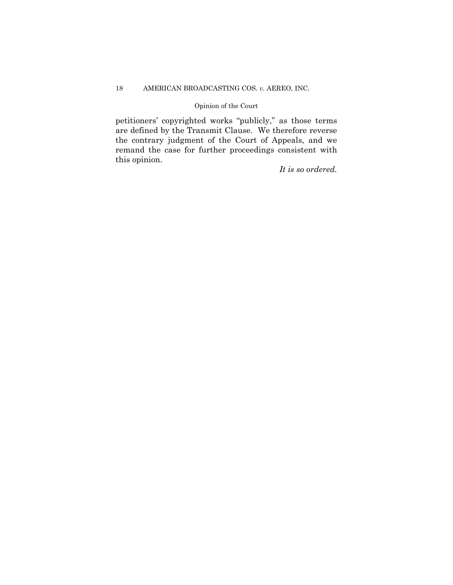petitioners' copyrighted works "publicly," as those terms are defined by the Transmit Clause. We therefore reverse the contrary judgment of the Court of Appeals, and we remand the case for further proceedings consistent with this opinion.

*It is so ordered.*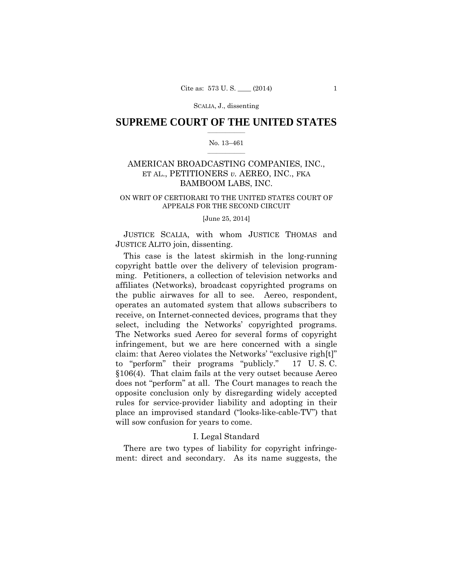# $\frac{1}{2}$  ,  $\frac{1}{2}$  ,  $\frac{1}{2}$  ,  $\frac{1}{2}$  ,  $\frac{1}{2}$  ,  $\frac{1}{2}$  ,  $\frac{1}{2}$ **SUPREME COURT OF THE UNITED STATES**

### $\frac{1}{2}$  ,  $\frac{1}{2}$  ,  $\frac{1}{2}$  ,  $\frac{1}{2}$  ,  $\frac{1}{2}$  ,  $\frac{1}{2}$ No. 13–461

# AMERICAN BROADCASTING COMPANIES, INC., ET AL., PETITIONERS *v.* AEREO, INC., FKA BAMBOOM LABS, INC.

### ON WRIT OF CERTIORARI TO THE UNITED STATES COURT OF APPEALS FOR THE SECOND CIRCUIT

### [June 25, 2014]

JUSTICE SCALIA, with whom JUSTICE THOMAS and JUSTICE ALITO join, dissenting.

 select, including the Networks' copyrighted programs. This case is the latest skirmish in the long-running copyright battle over the delivery of television programming. Petitioners, a collection of television networks and affiliates (Networks), broadcast copyrighted programs on the public airwaves for all to see. Aereo, respondent, operates an automated system that allows subscribers to receive, on Internet-connected devices, programs that they The Networks sued Aereo for several forms of copyright infringement, but we are here concerned with a single claim: that Aereo violates the Networks' "exclusive righ[t]" to "perform" their programs "publicly." 17 U. S. C. §106(4). That claim fails at the very outset because Aereo does not "perform" at all. The Court manages to reach the opposite conclusion only by disregarding widely accepted rules for service-provider liability and adopting in their place an improvised standard ("looks-like-cable-TV") that will sow confusion for years to come.

#### I. Legal Standard

There are two types of liability for copyright infringement: direct and secondary. As its name suggests, the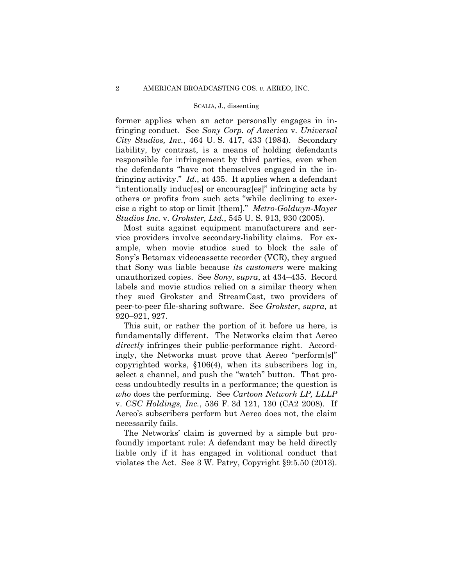former applies when an actor personally engages in infringing conduct. See *Sony Corp. of America* v. *Universal City Studios, Inc.*, 464 U. S. 417, 433 (1984). Secondary liability, by contrast, is a means of holding defendants responsible for infringement by third parties, even when the defendants "have not themselves engaged in the infringing activity." *Id.*, at 435. It applies when a defendant "intentionally induc[es] or encourag[es]" infringing acts by others or profits from such acts "while declining to exercise a right to stop or limit [them]." *Metro-Goldwyn-Mayer Studios Inc.* v. *Grokster, Ltd.*, 545 U. S. 913, 930 (2005).

Most suits against equipment manufacturers and service providers involve secondary-liability claims. For example, when movie studios sued to block the sale of Sony's Betamax videocassette recorder (VCR), they argued that Sony was liable because *its customers* were making unauthorized copies. See *Sony*, *supra*, at 434–435. Record labels and movie studios relied on a similar theory when they sued Grokster and StreamCast, two providers of peer-to-peer file-sharing software. See *Grokster*, *supra*, at 920–921, 927.

This suit, or rather the portion of it before us here, is fundamentally different. The Networks claim that Aereo *directly* infringes their public-performance right. Accordingly, the Networks must prove that Aereo "perform[s]" copyrighted works, §106(4), when its subscribers log in, select a channel, and push the "watch" button. That process undoubtedly results in a performance; the question is *who* does the performing. See *Cartoon Network LP, LLLP*  v. *CSC Holdings, Inc.*, 536 F. 3d 121, 130 (CA2 2008). If Aereo's subscribers perform but Aereo does not, the claim necessarily fails.

The Networks' claim is governed by a simple but profoundly important rule: A defendant may be held directly liable only if it has engaged in volitional conduct that violates the Act. See 3 W. Patry, Copyright §9:5.50 (2013).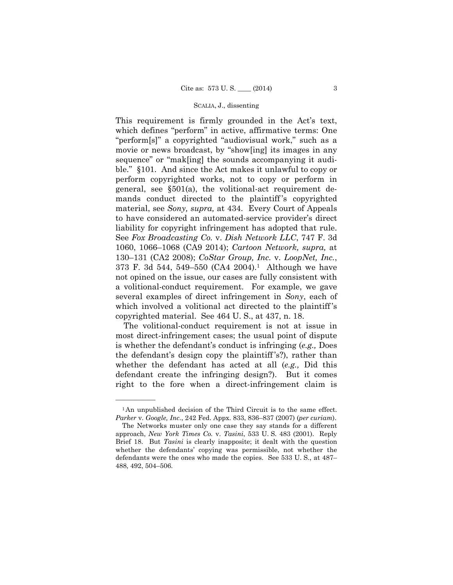This requirement is firmly grounded in the Act's text, which defines "perform" in active, affirmative terms: One "perform[s]" a copyrighted "audiovisual work," such as a movie or news broadcast, by "show[ing] its images in any sequence" or "mak[ing] the sounds accompanying it audible." §101. And since the Act makes it unlawful to copy or perform copyrighted works, not to copy or perform in general, see  $\S501(a)$ , the volitional-act requirement demands conduct directed to the plaintiff 's copyrighted material, see *Sony, supra,* at 434. Every Court of Appeals to have considered an automated-service provider's direct liability for copyright infringement has adopted that rule. See *Fox Broadcasting Co.* v. *Dish Network LLC*, 747 F. 3d 1060, 1066–1068 (CA9 2014); *Cartoon Network, supra,* at 130–131 (CA2 2008); *CoStar Group, Inc.* v. *LoopNet, Inc.*, 373 F. 3d 544, 549–550 (CA4 2004).1 Although we have not opined on the issue, our cases are fully consistent with a volitional-conduct requirement. For example, we gave several examples of direct infringement in *Sony*, each of which involved a volitional act directed to the plaintiff's copyrighted material. See 464 U. S., at 437, n. 18.

The volitional-conduct requirement is not at issue in most direct-infringement cases; the usual point of dispute is whether the defendant's conduct is infringing (*e.g.,* Does the defendant's design copy the plaintiff 's?), rather than whether the defendant has acted at all (*e.g.,* Did this defendant create the infringing design?). But it comes right to the fore when a direct-infringement claim is

<sup>1</sup>An unpublished decision of the Third Circuit is to the same effect. *Parker* v. *Google, Inc.*, 242 Fed. Appx. 833, 836–837 (2007) (*per curiam*).

The Networks muster only one case they say stands for a different approach, *New York Times Co.* v. *Tasini*, 533 U. S. 483 (2001). Reply Brief 18. But *Tasini* is clearly inapposite; it dealt with the question whether the defendants' copying was permissible, not whether the defendants were the ones who made the copies. See 533 U. S., at 487– 488, 492, 504–506.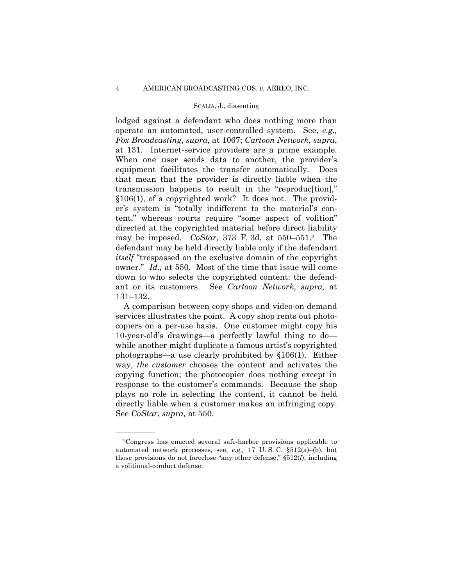lodged against a defendant who does nothing more than operate an automated, user-controlled system. See, *e.g., Fox Broadcasting*, *supra*, at 1067; *Cartoon Network*, *supra*, at 131. Internet-service providers are a prime example. When one user sends data to another, the provider's equipment facilitates the transfer automatically. Does that mean that the provider is directly liable when the transmission happens to result in the "reproduc[tion]," §106(1), of a copyrighted work? It does not. The provider's system is "totally indifferent to the material's content," whereas courts require "some aspect of volition" directed at the copyrighted material before direct liability may be imposed. *CoStar*, 373 F. 3d, at 550–551.2 The defendant may be held directly liable only if the defendant *itself* "trespassed on the exclusive domain of the copyright owner." *Id.,* at 550. Most of the time that issue will come down to who selects the copyrighted content: the defendant or its customers. See *Cartoon Network*, *supra,* at 131–132.

A comparison between copy shops and video-on-demand services illustrates the point. A copy shop rents out photocopiers on a per-use basis. One customer might copy his 10-year-old's drawings—a perfectly lawful thing to do while another might duplicate a famous artist's copyrighted photographs—a use clearly prohibited by §106(1). Either way, *the customer* chooses the content and activates the copying function; the photocopier does nothing except in response to the customer's commands. Because the shop plays no role in selecting the content, it cannot be held directly liable when a customer makes an infringing copy. See *CoStar*, *supra,* at 550.

<sup>2</sup>Congress has enacted several safe-harbor provisions applicable to automated network processes, see, *e.g.,* 17 U. S. C. §512(a)–(b), but those provisions do not foreclose "any other defense," §512(*l*), including a volitional-conduct defense.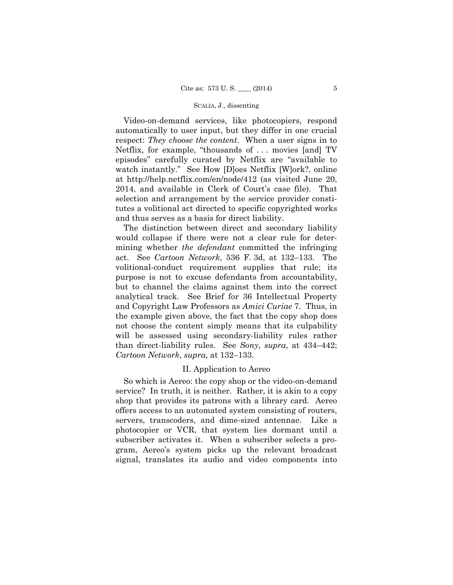Video-on-demand services, like photocopiers, respond automatically to user input, but they differ in one crucial respect: *They choose the content*. When a user signs in to Netflix, for example, "thousands of . . . movies [and] TV episodes" carefully curated by Netflix are "available to watch instantly." See How [D]oes Netflix [W]ork?, online at http://help.netflix.com/en/node/412 (as visited June 20, 2014, and available in Clerk of Court's case file). That selection and arrangement by the service provider constitutes a volitional act directed to specific copyrighted works and thus serves as a basis for direct liability.

The distinction between direct and secondary liability would collapse if there were not a clear rule for determining whether *the defendant* committed the infringing act. See *Cartoon Network*, 536 F. 3d, at 132–133. The volitional-conduct requirement supplies that rule; its purpose is not to excuse defendants from accountability, but to channel the claims against them into the correct analytical track. See Brief for 36 Intellectual Property and Copyright Law Professors as *Amici Curiae* 7. Thus, in the example given above, the fact that the copy shop does not choose the content simply means that its culpability will be assessed using secondary-liability rules rather than direct-liability rules. See *Sony*, *supra*, at 434–442; *Cartoon Network*, *supra*, at 132–133.

# II. Application to Aereo

So which is Aereo: the copy shop or the video-on-demand service? In truth, it is neither. Rather, it is akin to a copy shop that provides its patrons with a library card. Aereo offers access to an automated system consisting of routers, servers, transcoders, and dime-sized antennae. Like a photocopier or VCR, that system lies dormant until a subscriber activates it. When a subscriber selects a program, Aereo's system picks up the relevant broadcast signal, translates its audio and video components into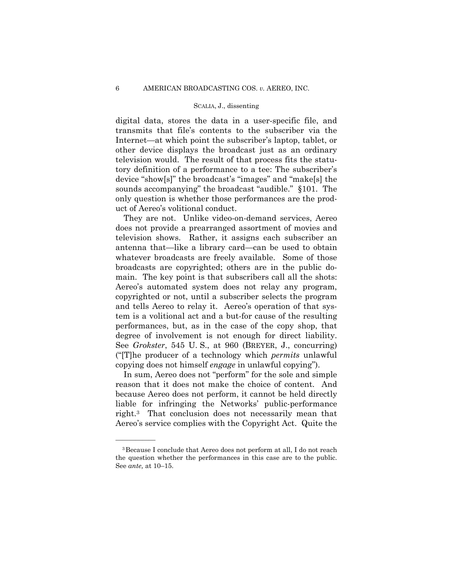digital data, stores the data in a user-specific file, and transmits that file's contents to the subscriber via the Internet—at which point the subscriber's laptop, tablet, or other device displays the broadcast just as an ordinary television would. The result of that process fits the statutory definition of a performance to a tee: The subscriber's device "show[s]" the broadcast's "images" and "make[s] the sounds accompanying" the broadcast "audible." §101. The only question is whether those performances are the product of Aereo's volitional conduct.

They are not. Unlike video-on-demand services, Aereo does not provide a prearranged assortment of movies and television shows. Rather, it assigns each subscriber an antenna that—like a library card—can be used to obtain whatever broadcasts are freely available. Some of those broadcasts are copyrighted; others are in the public domain. The key point is that subscribers call all the shots: Aereo's automated system does not relay any program, copyrighted or not, until a subscriber selects the program and tells Aereo to relay it. Aereo's operation of that system is a volitional act and a but-for cause of the resulting performances, but, as in the case of the copy shop, that degree of involvement is not enough for direct liability. See *Grokster*, 545 U. S., at 960 (BREYER, J., concurring) ("[T]he producer of a technology which *permits* unlawful copying does not himself *engage* in unlawful copying").

In sum, Aereo does not "perform" for the sole and simple reason that it does not make the choice of content. And because Aereo does not perform, it cannot be held directly liable for infringing the Networks' public-performance right.3 That conclusion does not necessarily mean that Aereo's service complies with the Copyright Act. Quite the

<sup>3</sup>Because I conclude that Aereo does not perform at all, I do not reach the question whether the performances in this case are to the public. See *ante,* at 10–15.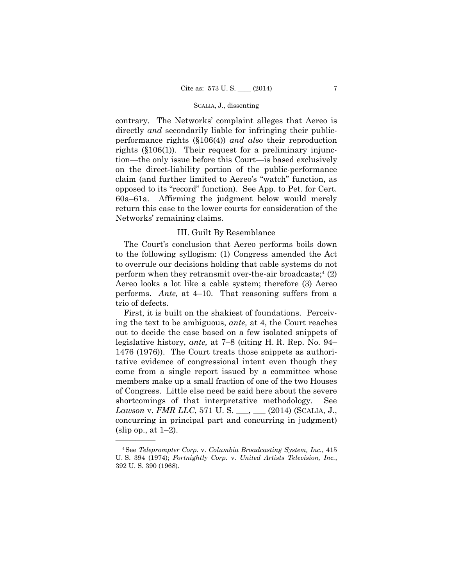contrary. The Networks' complaint alleges that Aereo is directly *and* secondarily liable for infringing their publicperformance rights (§106(4)) *and also* their reproduction rights (§106(1)). Their request for a preliminary injunction—the only issue before this Court—is based exclusively on the direct-liability portion of the public-performance claim (and further limited to Aereo's "watch" function, as opposed to its "record" function). See App. to Pet. for Cert. 60a–61a. Affirming the judgment below would merely return this case to the lower courts for consideration of the Networks' remaining claims.

# III. Guilt By Resemblance

The Court's conclusion that Aereo performs boils down to the following syllogism: (1) Congress amended the Act to overrule our decisions holding that cable systems do not perform when they retransmit over-the-air broadcasts; $4(2)$ Aereo looks a lot like a cable system; therefore (3) Aereo performs. *Ante,* at 4–10. That reasoning suffers from a trio of defects.

First, it is built on the shakiest of foundations. Perceiving the text to be ambiguous, *ante,* at 4, the Court reaches out to decide the case based on a few isolated snippets of legislative history, *ante,* at 7–8 (citing H. R. Rep. No. 94– 1476 (1976)). The Court treats those snippets as authoritative evidence of congressional intent even though they come from a single report issued by a committee whose members make up a small fraction of one of the two Houses of Congress. Little else need be said here about the severe shortcomings of that interpretative methodology. See *Lawson* v. *FMR LLC*, 571 U. S. \_\_\_, \_\_\_ (2014) (SCALIA, J., concurring in principal part and concurring in judgment)  $(slip op., at 1-2).$ 

<sup>4</sup>See *Teleprompter Corp.* v. *Columbia Broadcasting System, Inc.*, 415 U. S. 394 (1974); *Fortnightly Corp.* v. *United Artists Television, Inc.*, 392 U. S. 390 (1968).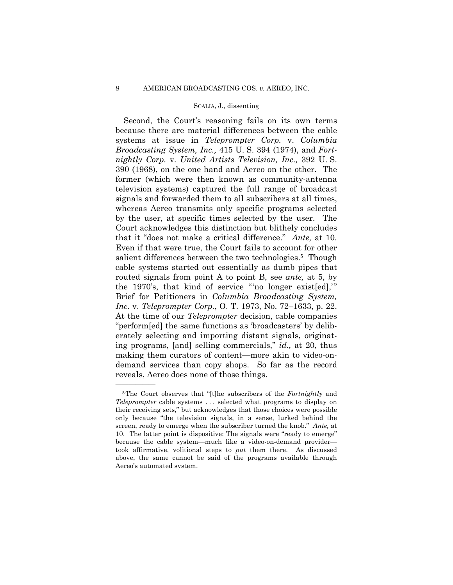Second, the Court's reasoning fails on its own terms because there are material differences between the cable systems at issue in *Teleprompter Corp.* v. *Columbia Broadcasting System, Inc.,* 415 U. S. 394 (1974), and *Fortnightly Corp.* v. *United Artists Television, Inc.,* 392 U. S. 390 (1968), on the one hand and Aereo on the other. The former (which were then known as community-antenna television systems) captured the full range of broadcast signals and forwarded them to all subscribers at all times, whereas Aereo transmits only specific programs selected by the user, at specific times selected by the user. The Court acknowledges this distinction but blithely concludes that it "does not make a critical difference." *Ante,* at 10. Even if that were true, the Court fails to account for other salient differences between the two technologies.<sup>5</sup> Though cable systems started out essentially as dumb pipes that routed signals from point A to point B, see *ante,* at 5, by the 1970's, that kind of service "'no longer exist[ed],'" Brief for Petitioners in *Columbia Broadcasting System, Inc.* v. *Teleprompter Corp.*, O. T. 1973, No. 72–1633, p. 22. At the time of our *Teleprompter* decision, cable companies "perform[ed] the same functions as 'broadcasters' by deliberately selecting and importing distant signals, originating programs, [and] selling commercials," *id.,* at 20, thus making them curators of content—more akin to video-ondemand services than copy shops. So far as the record reveals, Aereo does none of those things.

<sup>5</sup>The Court observes that "[t]he subscribers of the *Fortnightly* and *Teleprompter* cable systems . . . selected what programs to display on their receiving sets," but acknowledges that those choices were possible only because "the television signals, in a sense, lurked behind the screen, ready to emerge when the subscriber turned the knob." *Ante,* at 10. The latter point is dispositive: The signals were "ready to emerge" because the cable system—much like a video-on-demand provider took affirmative, volitional steps to *put* them there. As discussed above, the same cannot be said of the programs available through Aereo's automated system.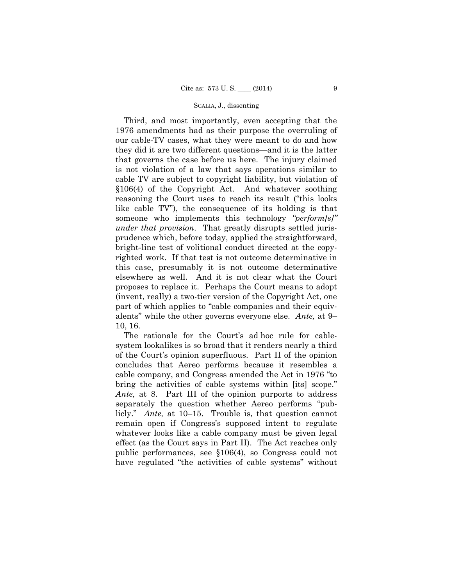Third, and most importantly, even accepting that the 1976 amendments had as their purpose the overruling of our cable-TV cases, what they were meant to do and how they did it are two different questions—and it is the latter that governs the case before us here. The injury claimed is not violation of a law that says operations similar to cable TV are subject to copyright liability, but violation of §106(4) of the Copyright Act. And whatever soothing reasoning the Court uses to reach its result ("this looks like cable TV"), the consequence of its holding is that someone who implements this technology *"perform[s]" under that provision*. That greatly disrupts settled jurisprudence which, before today, applied the straightforward, bright-line test of volitional conduct directed at the copyrighted work. If that test is not outcome determinative in this case, presumably it is not outcome determinative elsewhere as well. And it is not clear what the Court proposes to replace it. Perhaps the Court means to adopt (invent, really) a two-tier version of the Copyright Act, one part of which applies to "cable companies and their equivalents" while the other governs everyone else. *Ante,* at 9– 10, 16.

The rationale for the Court's ad hoc rule for cablesystem lookalikes is so broad that it renders nearly a third of the Court's opinion superfluous. Part II of the opinion concludes that Aereo performs because it resembles a cable company, and Congress amended the Act in 1976 "to bring the activities of cable systems within [its] scope." *Ante,* at 8. Part III of the opinion purports to address separately the question whether Aereo performs "publicly." *Ante,* at 10–15. Trouble is, that question cannot remain open if Congress's supposed intent to regulate whatever looks like a cable company must be given legal effect (as the Court says in Part II). The Act reaches only public performances, see §106(4), so Congress could not have regulated "the activities of cable systems" without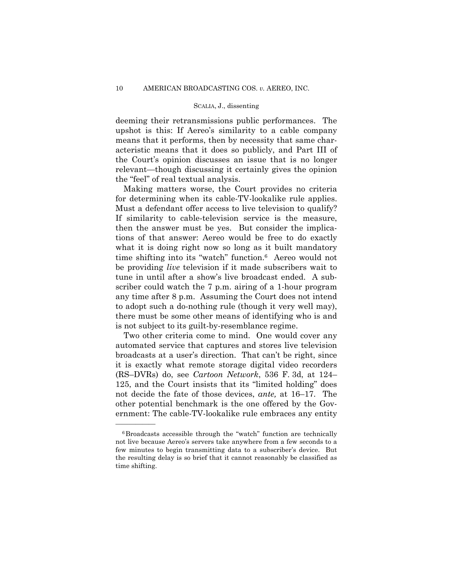deeming their retransmissions public performances. The upshot is this: If Aereo's similarity to a cable company means that it performs, then by necessity that same characteristic means that it does so publicly, and Part III of the Court's opinion discusses an issue that is no longer relevant—though discussing it certainly gives the opinion the "feel" of real textual analysis.

 for determining when its cable-TV-lookalike rule applies. Making matters worse, the Court provides no criteria Must a defendant offer access to live television to qualify? If similarity to cable-television service is the measure, then the answer must be yes. But consider the implications of that answer: Aereo would be free to do exactly what it is doing right now so long as it built mandatory time shifting into its "watch" function.6 Aereo would not be providing *live* television if it made subscribers wait to tune in until after a show's live broadcast ended. A subscriber could watch the 7 p.m. airing of a 1-hour program any time after 8 p.m. Assuming the Court does not intend to adopt such a do-nothing rule (though it very well may), there must be some other means of identifying who is and is not subject to its guilt-by-resemblance regime.

Two other criteria come to mind. One would cover any automated service that captures and stores live television broadcasts at a user's direction. That can't be right, since it is exactly what remote storage digital video recorders (RS–DVRs) do, see *Cartoon Network*, 536 F. 3d, at 124– 125, and the Court insists that its "limited holding" does not decide the fate of those devices, *ante,* at 16–17. The other potential benchmark is the one offered by the Government: The cable-TV-lookalike rule embraces any entity

<sup>6</sup>Broadcasts accessible through the "watch" function are technically not live because Aereo's servers take anywhere from a few seconds to a few minutes to begin transmitting data to a subscriber's device. But the resulting delay is so brief that it cannot reasonably be classified as time shifting.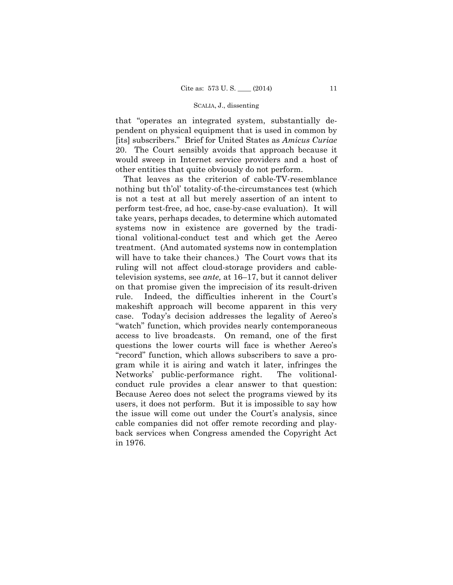that "operates an integrated system, substantially dependent on physical equipment that is used in common by [its] subscribers." Brief for United States as *Amicus Curiae*  20. The Court sensibly avoids that approach because it would sweep in Internet service providers and a host of other entities that quite obviously do not perform.

 take years, perhaps decades, to determine which automated That leaves as the criterion of cable-TV-resemblance nothing but th'ol' totality-of-the-circumstances test (which is not a test at all but merely assertion of an intent to perform test-free, ad hoc, case-by-case evaluation). It will systems now in existence are governed by the traditional volitional-conduct test and which get the Aereo treatment. (And automated systems now in contemplation will have to take their chances.) The Court vows that its ruling will not affect cloud-storage providers and cabletelevision systems, see *ante,* at 16–17, but it cannot deliver on that promise given the imprecision of its result-driven rule. Indeed, the difficulties inherent in the Court's makeshift approach will become apparent in this very case. Today's decision addresses the legality of Aereo's "watch" function, which provides nearly contemporaneous access to live broadcasts. On remand, one of the first questions the lower courts will face is whether Aereo's "record" function, which allows subscribers to save a program while it is airing and watch it later, infringes the Networks' public-performance right. The volitionalconduct rule provides a clear answer to that question: Because Aereo does not select the programs viewed by its users, it does not perform. But it is impossible to say how the issue will come out under the Court's analysis, since cable companies did not offer remote recording and playback services when Congress amended the Copyright Act in 1976.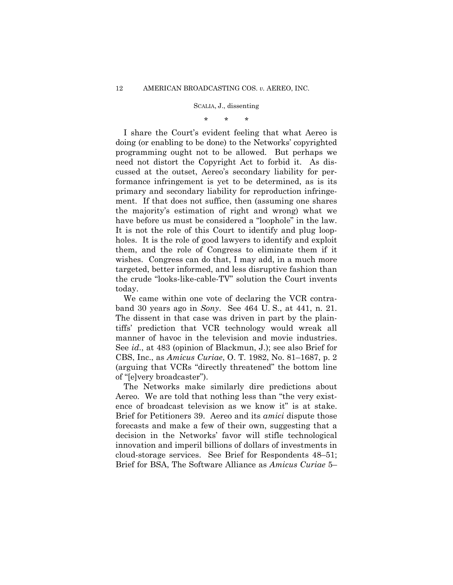# \* \* \*

I share the Court's evident feeling that what Aereo is doing (or enabling to be done) to the Networks' copyrighted programming ought not to be allowed. But perhaps we need not distort the Copyright Act to forbid it. As discussed at the outset, Aereo's secondary liability for performance infringement is yet to be determined, as is its primary and secondary liability for reproduction infringement. If that does not suffice, then (assuming one shares the majority's estimation of right and wrong) what we have before us must be considered a "loophole" in the law. It is not the role of this Court to identify and plug loopholes. It is the role of good lawyers to identify and exploit them, and the role of Congress to eliminate them if it wishes. Congress can do that, I may add, in a much more targeted, better informed, and less disruptive fashion than the crude "looks-like-cable-TV" solution the Court invents today.

We came within one vote of declaring the VCR contraband 30 years ago in *Sony*. See 464 U. S., at 441, n. 21. The dissent in that case was driven in part by the plaintiffs' prediction that VCR technology would wreak all manner of havoc in the television and movie industries. See *id*., at 483 (opinion of Blackmun, J.); see also Brief for CBS, Inc., as *Amicus Curiae*, O. T. 1982, No. 81–1687, p. 2 (arguing that VCRs "directly threatened" the bottom line of "[e]very broadcaster").

The Networks make similarly dire predictions about Aereo. We are told that nothing less than "the very existence of broadcast television as we know it" is at stake. Brief for Petitioners 39. Aereo and its *amici* dispute those forecasts and make a few of their own, suggesting that a decision in the Networks' favor will stifle technological innovation and imperil billions of dollars of investments in cloud-storage services. See Brief for Respondents 48–51; Brief for BSA, The Software Alliance as *Amicus Curiae* 5–